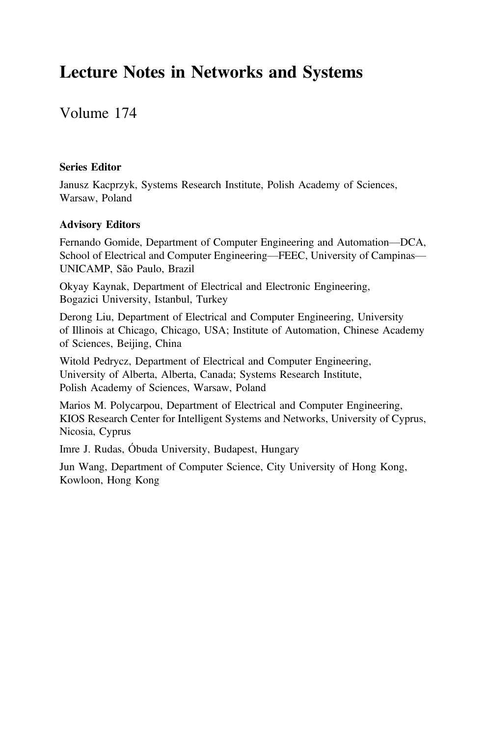### Lecture Notes in Networks and Systems

Volume 174

### Series Editor

Janusz Kacprzyk, Systems Research Institute, Polish Academy of Sciences, Warsaw, Poland

### Advisory Editors

Fernando Gomide, Department of Computer Engineering and Automation—DCA, School of Electrical and Computer Engineering—FEEC, University of Campinas— UNICAMP, São Paulo, Brazil

Okyay Kaynak, Department of Electrical and Electronic Engineering, Bogazici University, Istanbul, Turkey

Derong Liu, Department of Electrical and Computer Engineering, University of Illinois at Chicago, Chicago, USA; Institute of Automation, Chinese Academy of Sciences, Beijing, China

Witold Pedrycz, Department of Electrical and Computer Engineering, University of Alberta, Alberta, Canada; Systems Research Institute, Polish Academy of Sciences, Warsaw, Poland

Marios M. Polycarpou, Department of Electrical and Computer Engineering, KIOS Research Center for Intelligent Systems and Networks, University of Cyprus, Nicosia, Cyprus

Imre J. Rudas, Óbuda University, Budapest, Hungary

Jun Wang, Department of Computer Science, City University of Hong Kong, Kowloon, Hong Kong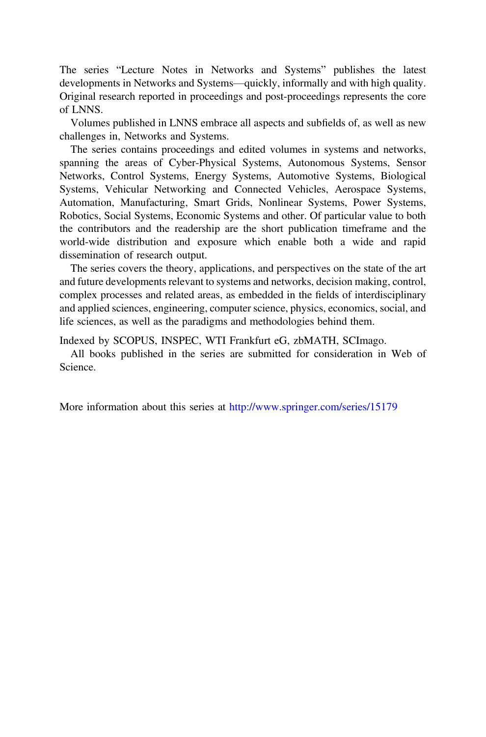The series "Lecture Notes in Networks and Systems" publishes the latest developments in Networks and Systems—quickly, informally and with high quality. Original research reported in proceedings and post-proceedings represents the core of LNNS.

Volumes published in LNNS embrace all aspects and subfields of, as well as new challenges in, Networks and Systems.

The series contains proceedings and edited volumes in systems and networks, spanning the areas of Cyber-Physical Systems, Autonomous Systems, Sensor Networks, Control Systems, Energy Systems, Automotive Systems, Biological Systems, Vehicular Networking and Connected Vehicles, Aerospace Systems, Automation, Manufacturing, Smart Grids, Nonlinear Systems, Power Systems, Robotics, Social Systems, Economic Systems and other. Of particular value to both the contributors and the readership are the short publication timeframe and the world-wide distribution and exposure which enable both a wide and rapid dissemination of research output.

The series covers the theory, applications, and perspectives on the state of the art and future developments relevant to systems and networks, decision making, control, complex processes and related areas, as embedded in the fields of interdisciplinary and applied sciences, engineering, computer science, physics, economics, social, and life sciences, as well as the paradigms and methodologies behind them.

Indexed by SCOPUS, INSPEC, WTI Frankfurt eG, zbMATH, SCImago.

All books published in the series are submitted for consideration in Web of Science.

More information about this series at <http://www.springer.com/series/15179>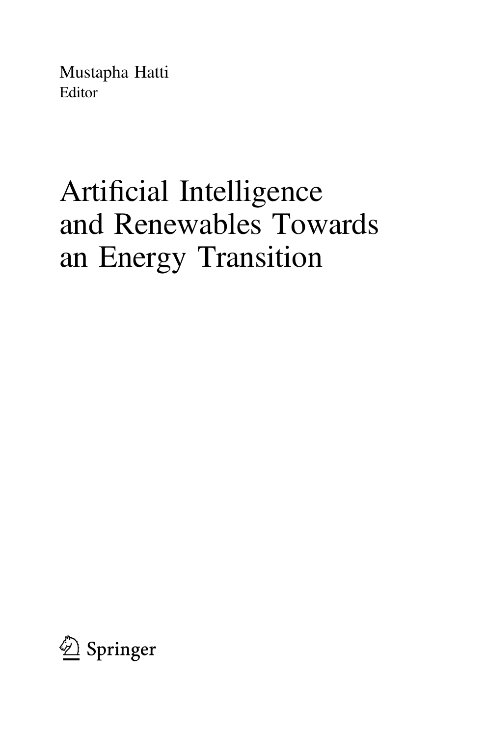Mustapha Hatti Editor

# Artificial Intelligence and Renewables Towards an Energy Transition

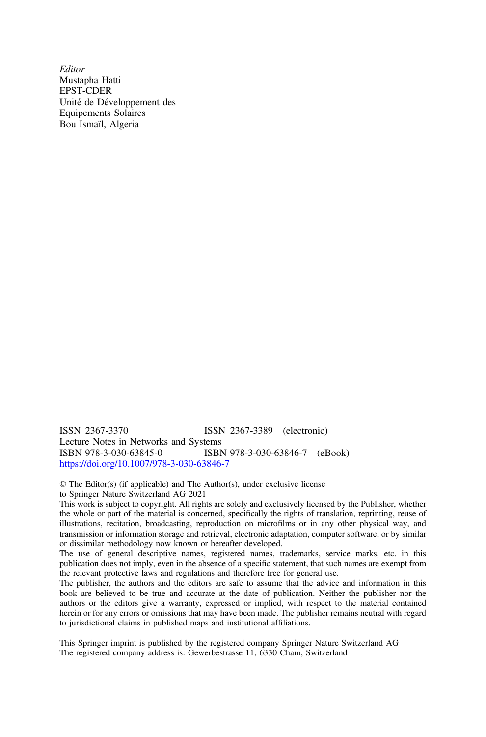**Editor** Mustapha Hatti EPST-CDER Unité de Développement des Equipements Solaires Bou Ismaïl, Algeria

ISSN 2367-3370 ISSN 2367-3389 (electronic) Lecture Notes in Networks and Systems<br>ISBN 978-3-030-63845-0<br>ISBN ISBN 978-3-030-63846-7 (eBook) <https://doi.org/10.1007/978-3-030-63846-7>

© The Editor(s) (if applicable) and The Author(s), under exclusive license to Springer Nature Switzerland AG 2021

This work is subject to copyright. All rights are solely and exclusively licensed by the Publisher, whether the whole or part of the material is concerned, specifically the rights of translation, reprinting, reuse of illustrations, recitation, broadcasting, reproduction on microfilms or in any other physical way, and transmission or information storage and retrieval, electronic adaptation, computer software, or by similar or dissimilar methodology now known or hereafter developed.

The use of general descriptive names, registered names, trademarks, service marks, etc. in this publication does not imply, even in the absence of a specific statement, that such names are exempt from the relevant protective laws and regulations and therefore free for general use.

The publisher, the authors and the editors are safe to assume that the advice and information in this book are believed to be true and accurate at the date of publication. Neither the publisher nor the authors or the editors give a warranty, expressed or implied, with respect to the material contained herein or for any errors or omissions that may have been made. The publisher remains neutral with regard to jurisdictional claims in published maps and institutional affiliations.

This Springer imprint is published by the registered company Springer Nature Switzerland AG The registered company address is: Gewerbestrasse 11, 6330 Cham, Switzerland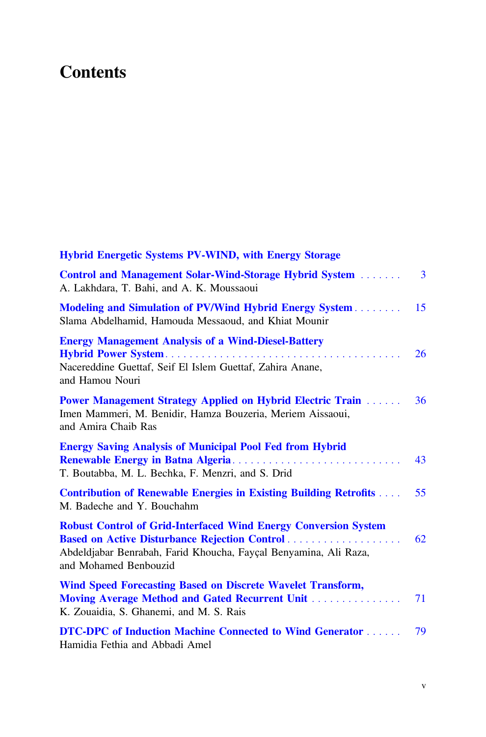## **Contents**

| <b>Hybrid Energetic Systems PV-WIND, with Energy Storage</b>                                                                                                                                                         |    |
|----------------------------------------------------------------------------------------------------------------------------------------------------------------------------------------------------------------------|----|
| Control and Management Solar-Wind-Storage Hybrid System<br>A. Lakhdara, T. Bahi, and A. K. Moussaoui                                                                                                                 | 3  |
| Modeling and Simulation of PV/Wind Hybrid Energy System<br>Slama Abdelhamid, Hamouda Messaoud, and Khiat Mounir                                                                                                      | 15 |
| <b>Energy Management Analysis of a Wind-Diesel-Battery</b><br>Nacereddine Guettaf, Seif El Islem Guettaf, Zahira Anane,<br>and Hamou Nouri                                                                           | 26 |
| <b>Power Management Strategy Applied on Hybrid Electric Train </b><br>Imen Mammeri, M. Benidir, Hamza Bouzeria, Meriem Aissaoui,<br>and Amira Chaib Ras                                                              | 36 |
| <b>Energy Saving Analysis of Municipal Pool Fed from Hybrid</b><br>T. Boutabba, M. L. Bechka, F. Menzri, and S. Drid                                                                                                 | 43 |
| <b>Contribution of Renewable Energies in Existing Building Retrofits </b><br>M. Badeche and Y. Bouchahm                                                                                                              | 55 |
| <b>Robust Control of Grid-Interfaced Wind Energy Conversion System</b><br>Based on Active Disturbance Rejection Control<br>Abdeldjabar Benrabah, Farid Khoucha, Fayçal Benyamina, Ali Raza,<br>and Mohamed Benbouzid | 62 |
| Wind Speed Forecasting Based on Discrete Wavelet Transform,<br>Moving Average Method and Gated Recurrent Unit<br>K. Zouaidia, S. Ghanemi, and M. S. Rais                                                             | 71 |
| DTC-DPC of Induction Machine Connected to Wind Generator<br>Hamidia Fethia and Abbadi Amel                                                                                                                           | 79 |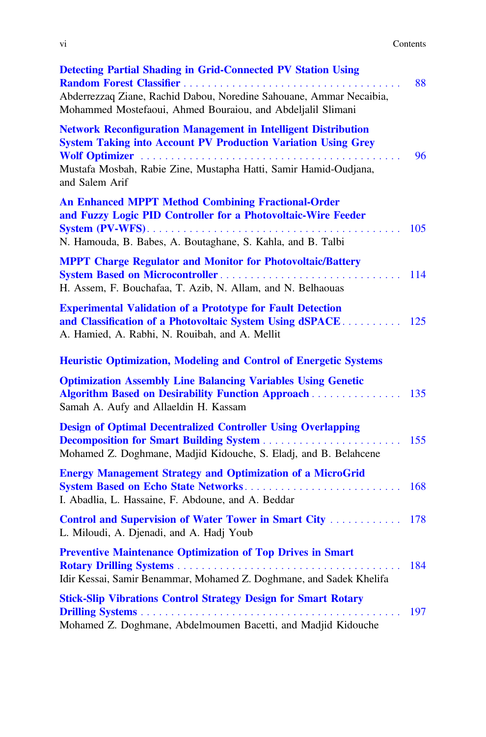| V1 | Contents |
|----|----------|
|    | .        |
|    |          |

| <b>Detecting Partial Shading in Grid-Connected PV Station Using</b><br>Random Forest Classifier<br>the service of the service                                                             | 88  |
|-------------------------------------------------------------------------------------------------------------------------------------------------------------------------------------------|-----|
| Abderrezzaq Ziane, Rachid Dabou, Noredine Sahouane, Ammar Necaibia,<br>Mohammed Mostefaoui, Ahmed Bouraiou, and Abdeljalil Slimani                                                        |     |
| <b>Network Reconfiguration Management in Intelligent Distribution</b><br><b>System Taking into Account PV Production Variation Using Grey</b>                                             |     |
| Mustafa Mosbah, Rabie Zine, Mustapha Hatti, Samir Hamid-Oudjana,<br>and Salem Arif                                                                                                        | 96  |
| <b>An Enhanced MPPT Method Combining Fractional-Order</b><br>and Fuzzy Logic PID Controller for a Photovoltaic-Wire Feeder<br>N. Hamouda, B. Babes, A. Boutaghane, S. Kahla, and B. Talbi | 105 |
| <b>MPPT Charge Regulator and Monitor for Photovoltaic/Battery</b><br><b>System Based on Microcontroller</b><br>H. Assem, F. Bouchafaa, T. Azib, N. Allam, and N. Belhaouas                | 114 |
| <b>Experimental Validation of a Prototype for Fault Detection</b><br>and Classification of a Photovoltaic System Using dSPACE<br>A. Hamied, A. Rabhi, N. Rouibah, and A. Mellit           | 125 |
| <b>Heuristic Optimization, Modeling and Control of Energetic Systems</b>                                                                                                                  |     |
| <b>Optimization Assembly Line Balancing Variables Using Genetic</b><br><b>Algorithm Based on Desirability Function Approach</b><br>Samah A. Aufy and Allaeldin H. Kassam                  | 135 |
| <b>Design of Optimal Decentralized Controller Using Overlapping</b><br>Mohamed Z. Doghmane, Madjid Kidouche, S. Eladj, and B. Belahcene                                                   | 155 |
| <b>Energy Management Strategy and Optimization of a MicroGrid</b><br><b>System Based on Echo State Networks</b><br>I. Abadlia, L. Hassaine, F. Abdoune, and A. Beddar                     | 168 |
| Control and Supervision of Water Tower in Smart City<br>L. Miloudi, A. Djenadi, and A. Hadj Youb                                                                                          | 178 |
| <b>Preventive Maintenance Optimization of Top Drives in Smart</b><br>Idir Kessai, Samir Benammar, Mohamed Z. Doghmane, and Sadek Khelifa                                                  | 184 |
| <b>Stick-Slip Vibrations Control Strategy Design for Smart Rotary</b>                                                                                                                     | 197 |
| Mohamed Z. Doghmane, Abdelmoumen Bacetti, and Madjid Kidouche                                                                                                                             |     |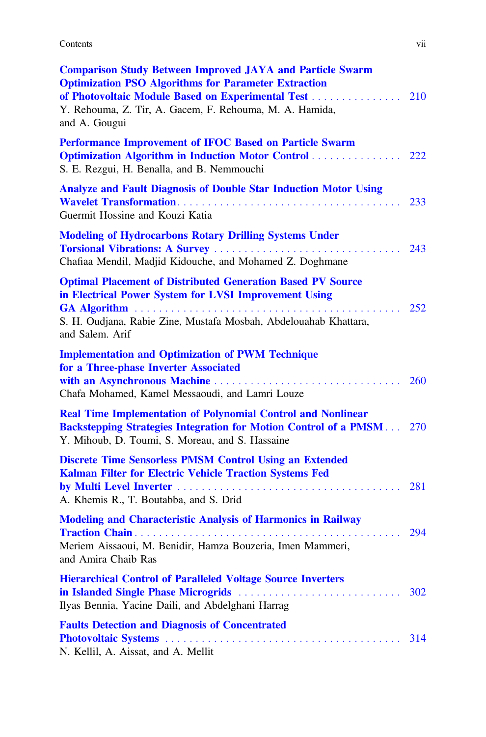#### Contents viii and the content of the content of the content of the content of the content of the content of the content of the content of the content of the content of the content of the content of the content of the conte

| <b>Comparison Study Between Improved JAYA and Particle Swarm</b><br><b>Optimization PSO Algorithms for Parameter Extraction</b><br>of Photovoltaic Module Based on Experimental Test<br>Y. Rehouma, Z. Tir, A. Gacem, F. Rehouma, M. A. Hamida,<br>and A. Gougui | 210        |
|------------------------------------------------------------------------------------------------------------------------------------------------------------------------------------------------------------------------------------------------------------------|------------|
| Performance Improvement of IFOC Based on Particle Swarm<br><b>Optimization Algorithm in Induction Motor Control </b><br>S. E. Rezgui, H. Benalla, and B. Nemmouchi                                                                                               | 222        |
| <b>Analyze and Fault Diagnosis of Double Star Induction Motor Using</b><br>Guermit Hossine and Kouzi Katia                                                                                                                                                       | 233        |
| <b>Modeling of Hydrocarbons Rotary Drilling Systems Under</b><br>Chafiaa Mendil, Madjid Kidouche, and Mohamed Z. Doghmane                                                                                                                                        | 243        |
| <b>Optimal Placement of Distributed Generation Based PV Source</b><br>in Electrical Power System for LVSI Improvement Using<br>S. H. Oudjana, Rabie Zine, Mustafa Mosbah, Abdelouahab Khattara,<br>and Salem. Arif                                               | 252        |
| <b>Implementation and Optimization of PWM Technique</b><br>for a Three-phase Inverter Associated<br>Chafa Mohamed, Kamel Messaoudi, and Lamri Louze                                                                                                              | <b>260</b> |
| <b>Real Time Implementation of Polynomial Control and Nonlinear</b><br><b>Backstepping Strategies Integration for Motion Control of a PMSM</b> 270<br>Y. Mihoub, D. Toumi, S. Moreau, and S. Hassaine                                                            |            |
| <b>Discrete Time Sensorless PMSM Control Using an Extended</b><br>Kalman Filter for Electric Vehicle Traction Systems Fed<br>A. Khemis R., T. Boutabba, and S. Drid                                                                                              | 281        |
| <b>Modeling and Characteristic Analysis of Harmonics in Railway</b><br>Meriem Aissaoui, M. Benidir, Hamza Bouzeria, Imen Mammeri,<br>and Amira Chaib Ras                                                                                                         | 294        |
| <b>Hierarchical Control of Paralleled Voltage Source Inverters</b><br>Ilyas Bennia, Yacine Daili, and Abdelghani Harrag                                                                                                                                          | 302        |
| <b>Faults Detection and Diagnosis of Concentrated</b><br>N. Kellil, A. Aissat, and A. Mellit                                                                                                                                                                     | 314        |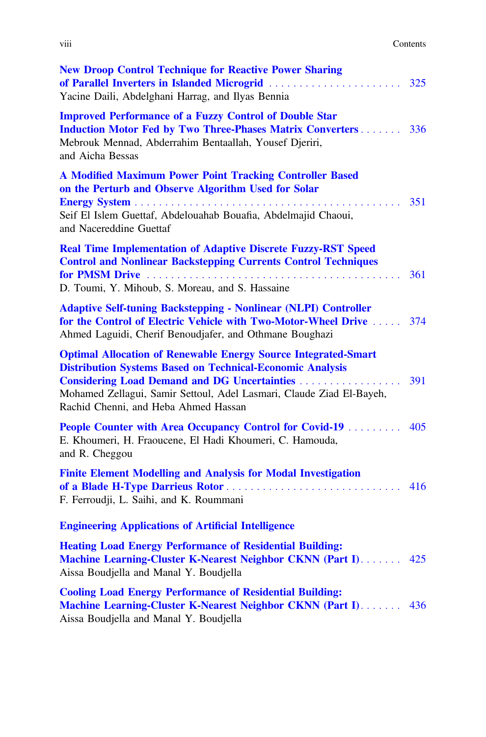| Contents |
|----------|
|          |

| <b>New Droop Control Technique for Reactive Power Sharing</b><br>of Parallel Inverters in Islanded Microgrid<br>Yacine Daili, Abdelghani Harrag, and Ilyas Bennia                                                                                         | 325 |
|-----------------------------------------------------------------------------------------------------------------------------------------------------------------------------------------------------------------------------------------------------------|-----|
| <b>Improved Performance of a Fuzzy Control of Double Star</b><br><b>Induction Motor Fed by Two Three-Phases Matrix Converters 336</b><br>Mebrouk Mennad, Abderrahim Bentaallah, Yousef Djeriri,<br>and Aicha Bessas                                       |     |
| <b>A Modified Maximum Power Point Tracking Controller Based</b><br>on the Perturb and Observe Algorithm Used for Solar<br>Seif El Islem Guettaf, Abdelouahab Bouafia, Abdelmajid Chaoui,<br>and Nacereddine Guettaf                                       | 351 |
| <b>Real Time Implementation of Adaptive Discrete Fuzzy-RST Speed</b><br><b>Control and Nonlinear Backstepping Currents Control Techniques</b><br>D. Toumi, Y. Mihoub, S. Moreau, and S. Hassaine                                                          | 361 |
| <b>Adaptive Self-tuning Backstepping - Nonlinear (NLPI) Controller</b><br>for the Control of Electric Vehicle with Two-Motor-Wheel Drive  374<br>Ahmed Laguidi, Cherif Benoudjafer, and Othmane Boughazi                                                  |     |
| <b>Optimal Allocation of Renewable Energy Source Integrated-Smart</b><br><b>Distribution Systems Based on Technical-Economic Analysis</b><br>Mohamed Zellagui, Samir Settoul, Adel Lasmari, Claude Ziad El-Bayeh,<br>Rachid Chenni, and Heba Ahmed Hassan | 391 |
| People Counter with Area Occupancy Control for Covid-19 405<br>E. Khoumeri, H. Fraoucene, El Hadi Khoumeri, C. Hamouda,<br>and R. Cheggou                                                                                                                 |     |
| <b>Finite Element Modelling and Analysis for Modal Investigation</b><br>F. Ferroudji, L. Saihi, and K. Roummani                                                                                                                                           | 416 |
| <b>Engineering Applications of Artificial Intelligence</b>                                                                                                                                                                                                |     |
| <b>Heating Load Energy Performance of Residential Building:</b><br>Machine Learning-Cluster K-Nearest Neighbor CKNN (Part I)<br>Aissa Boudjella and Manal Y. Boudjella                                                                                    | 425 |
| <b>Cooling Load Energy Performance of Residential Building:</b><br>Machine Learning-Cluster K-Nearest Neighbor CKNN (Part I)<br>Aissa Boudjella and Manal Y. Boudjella                                                                                    | 436 |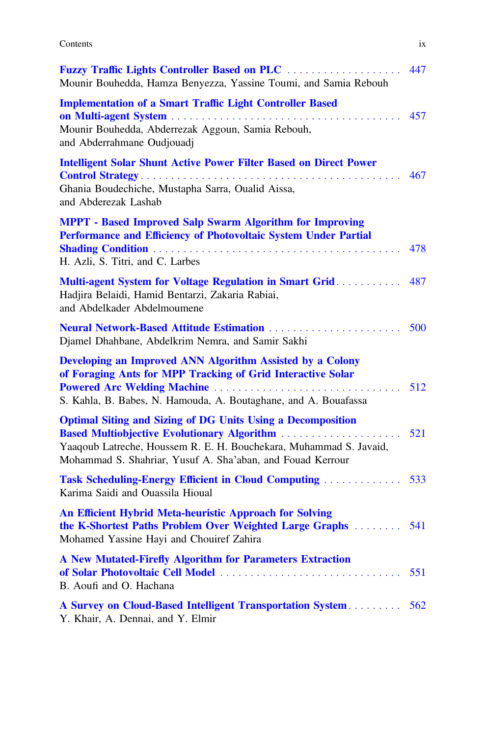#### Contents ix

| Fuzzy Traffic Lights Controller Based on PLC<br>Mounir Bouhedda, Hamza Benyezza, Yassine Toumi, and Samia Rebouh                                                                                                                                      | 447 |
|-------------------------------------------------------------------------------------------------------------------------------------------------------------------------------------------------------------------------------------------------------|-----|
| <b>Implementation of a Smart Traffic Light Controller Based</b><br>and a straight and a straight<br>Mounir Bouhedda, Abderrezak Aggoun, Samia Rebouh,<br>and Abderrahmane Oudjouadj                                                                   | 457 |
| <b>Intelligent Solar Shunt Active Power Filter Based on Direct Power</b><br>Ghania Boudechiche, Mustapha Sarra, Oualid Aissa,<br>and Abderezak Lashab                                                                                                 | 467 |
| <b>MPPT</b> - Based Improved Salp Swarm Algorithm for Improving<br>Performance and Efficiency of Photovoltaic System Under Partial<br>H. Azli, S. Titri, and C. Larbes                                                                                | 478 |
| Multi-agent System for Voltage Regulation in Smart Grid<br>Hadjira Belaidi, Hamid Bentarzi, Zakaria Rabiai,<br>and Abdelkader Abdelmoumene                                                                                                            | 487 |
| Neural Network-Based Attitude Estimation<br>Djamel Dhahbane, Abdelkrim Nemra, and Samir Sakhi                                                                                                                                                         | 500 |
| Developing an Improved ANN Algorithm Assisted by a Colony<br>of Foraging Ants for MPP Tracking of Grid Interactive Solar<br>Powered Arc Welding Machine<br>S. Kahla, B. Babes, N. Hamouda, A. Boutaghane, and A. Bouafassa                            | 512 |
| <b>Optimal Siting and Sizing of DG Units Using a Decomposition</b><br>Based Multiobjective Evolutionary Algorithm<br>Yaaqoub Latreche, Houssem R. E. H. Bouchekara, Muhammad S. Javaid,<br>Mohammad S. Shahriar, Yusuf A. Sha'aban, and Fouad Kerrour | 521 |
| Task Scheduling-Energy Efficient in Cloud Computing  533<br>Karima Saidi and Ouassila Hioual                                                                                                                                                          |     |
| An Efficient Hybrid Meta-heuristic Approach for Solving<br>the K-Shortest Paths Problem Over Weighted Large Graphs<br>Mohamed Yassine Hayi and Chouiref Zahira                                                                                        | 541 |
| A New Mutated-Firefly Algorithm for Parameters Extraction<br>of Solar Photovoltaic Cell Model<br>B. Aoufi and O. Hachana                                                                                                                              | 551 |
| A Survey on Cloud-Based Intelligent Transportation System<br>Y. Khair, A. Dennai, and Y. Elmir                                                                                                                                                        | 562 |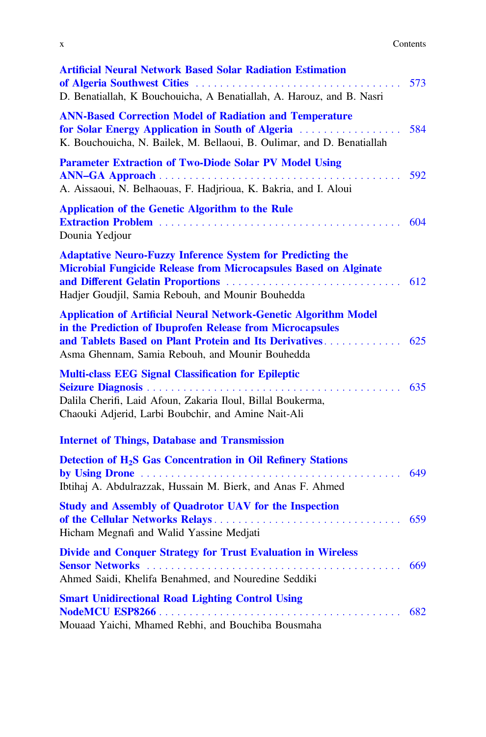|  | Contents<br>. |
|--|---------------|
|  |               |

| <b>Artificial Neural Network Based Solar Radiation Estimation</b><br>D. Benatiallah, K Bouchouicha, A Benatiallah, A. Harouz, and B. Nasri                                                   | 573 |
|----------------------------------------------------------------------------------------------------------------------------------------------------------------------------------------------|-----|
| <b>ANN-Based Correction Model of Radiation and Temperature</b><br>for Solar Energy Application in South of Algeria<br>K. Bouchouicha, N. Bailek, M. Bellaoui, B. Oulimar, and D. Benatiallah | 584 |
| <b>Parameter Extraction of Two-Diode Solar PV Model Using</b><br>A. Aissaoui, N. Belhaouas, F. Hadjrioua, K. Bakria, and I. Aloui                                                            | 592 |
| <b>Application of the Genetic Algorithm to the Rule</b><br>Dounia Yedjour                                                                                                                    |     |
| <b>Adaptative Neuro-Fuzzy Inference System for Predicting the</b><br>Microbial Fungicide Release from Microcapsules Based on Alginate<br>Hadjer Goudjil, Samia Rebouh, and Mounir Bouhedda   | 612 |
| <b>Application of Artificial Neural Network-Genetic Algorithm Model</b><br>in the Prediction of Ibuprofen Release from Microcapsules<br>Asma Ghennam, Samia Rebouh, and Mounir Bouhedda      |     |
| <b>Multi-class EEG Signal Classification for Epileptic</b><br>Dalila Cherifi, Laid Afoun, Zakaria Iloul, Billal Boukerma,<br>Chaouki Adjerid, Larbi Boubchir, and Amine Nait-Ali             |     |
| <b>Internet of Things, Database and Transmission</b>                                                                                                                                         |     |
| Detection of H <sub>2</sub> S Gas Concentration in Oil Refinery Stations<br>Ibtihaj A. Abdulrazzak, Hussain M. Bierk, and Anas F. Ahmed                                                      | 649 |
| <b>Study and Assembly of Quadrotor UAV for the Inspection</b><br>Hicham Megnafi and Walid Yassine Medjati                                                                                    | 659 |
| <b>Divide and Conquer Strategy for Trust Evaluation in Wireless</b><br>Ahmed Saidi, Khelifa Benahmed, and Nouredine Seddiki                                                                  | 669 |
| <b>Smart Unidirectional Road Lighting Control Using</b><br>Mouaad Yaichi, Mhamed Rebhi, and Bouchiba Bousmaha                                                                                |     |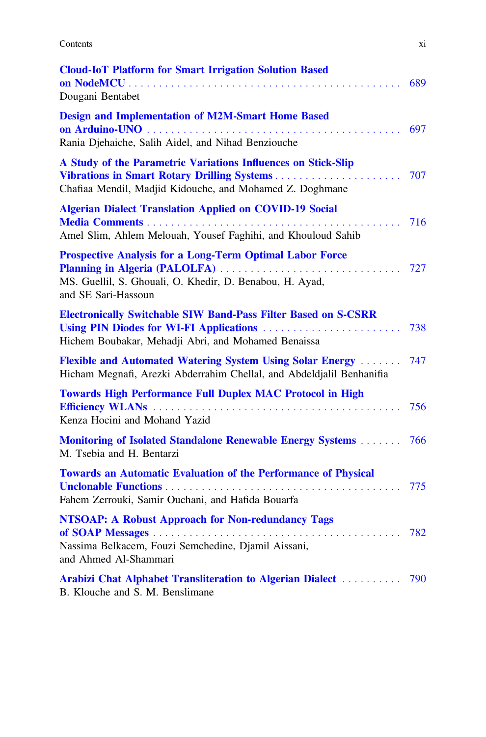Contents xi

| <b>Cloud-IoT Platform for Smart Irrigation Solution Based</b><br>Dougani Bentabet                                                                                                   | 689 |
|-------------------------------------------------------------------------------------------------------------------------------------------------------------------------------------|-----|
| <b>Design and Implementation of M2M-Smart Home Based</b><br>Rania Djehaiche, Salih Aidel, and Nihad Benziouche                                                                      | 697 |
| A Study of the Parametric Variations Influences on Stick-Slip<br>Vibrations in Smart Rotary Drilling Systems<br>Chafiaa Mendil, Madjid Kidouche, and Mohamed Z. Doghmane            | 707 |
| <b>Algerian Dialect Translation Applied on COVID-19 Social</b><br>Amel Slim, Ahlem Melouah, Yousef Faghihi, and Khouloud Sahib                                                      | 716 |
| <b>Prospective Analysis for a Long-Term Optimal Labor Force</b><br>Planning in Algeria (PALOLFA)<br>MS. Guellil, S. Ghouali, O. Khedir, D. Benabou, H. Ayad,<br>and SE Sari-Hassoun | 727 |
| <b>Electronically Switchable SIW Band-Pass Filter Based on S-CSRR</b><br>Using PIN Diodes for WI-FI Applications<br>Hichem Boubakar, Mehadji Abri, and Mohamed Benaissa             | 738 |
| Flexible and Automated Watering System Using Solar Energy<br>Hicham Megnafi, Arezki Abderrahim Chellal, and Abdeldjalil Benhanifia                                                  | 747 |
| <b>Towards High Performance Full Duplex MAC Protocol in High</b><br>Kenza Hocini and Mohand Yazid                                                                                   | 756 |
| <b>Monitoring of Isolated Standalone Renewable Energy Systems </b><br>M. Tsebia and H. Bentarzi                                                                                     | 766 |
| <b>Towards an Automatic Evaluation of the Performance of Physical</b><br>Fahem Zerrouki, Samir Ouchani, and Hafida Bouarfa                                                          | 775 |
| <b>NTSOAP: A Robust Approach for Non-redundancy Tags</b><br>Nassima Belkacem, Fouzi Semchedine, Djamil Aissani,<br>and Ahmed Al-Shammari                                            | 782 |
| Arabizi Chat Alphabet Transliteration to Algerian Dialect  790<br>B. Klouche and S. M. Benslimane                                                                                   |     |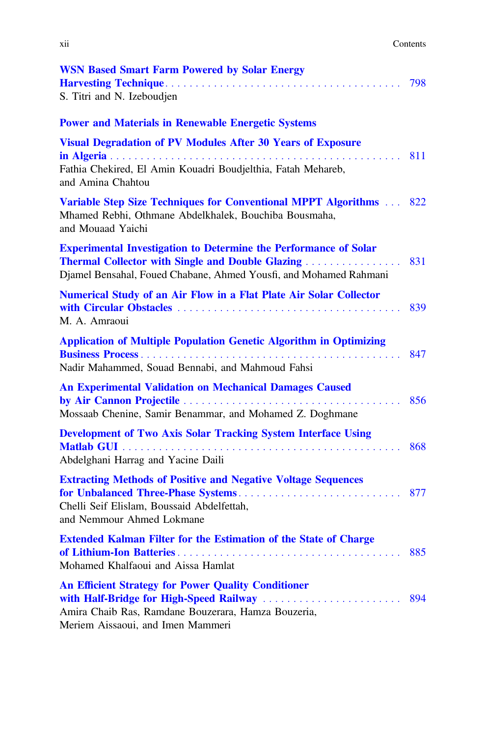| $\cdot$ .<br>X11 | Contents<br>. |
|------------------|---------------|
|                  |               |

| <b>WSN Based Smart Farm Powered by Solar Energy</b><br>S. Titri and N. Izeboudjen                                                                                                                        | 798 |
|----------------------------------------------------------------------------------------------------------------------------------------------------------------------------------------------------------|-----|
| <b>Power and Materials in Renewable Energetic Systems</b>                                                                                                                                                |     |
| <b>Visual Degradation of PV Modules After 30 Years of Exposure</b><br>Fathia Chekired, El Amin Kouadri Boudjelthia, Fatah Mehareb,<br>and Amina Chahtou                                                  | 811 |
| Variable Step Size Techniques for Conventional MPPT Algorithms  822<br>Mhamed Rebhi, Othmane Abdelkhalek, Bouchiba Bousmaha,<br>and Mouaad Yaichi                                                        |     |
| <b>Experimental Investigation to Determine the Performance of Solar</b><br><b>Thermal Collector with Single and Double Glazing </b><br>Djamel Bensahal, Foued Chabane, Ahmed Yousfi, and Mohamed Rahmani | 831 |
| <b>Numerical Study of an Air Flow in a Flat Plate Air Solar Collector</b><br>M. A. Amraoui                                                                                                               | 839 |
| <b>Application of Multiple Population Genetic Algorithm in Optimizing</b><br>Nadir Mahammed, Souad Bennabi, and Mahmoud Fahsi                                                                            | 847 |
| <b>An Experimental Validation on Mechanical Damages Caused</b><br>Mossaab Chenine, Samir Benammar, and Mohamed Z. Doghmane                                                                               | 856 |
| <b>Development of Two Axis Solar Tracking System Interface Using</b><br>Abdelghani Harrag and Yacine Daili                                                                                               | 868 |
| <b>Extracting Methods of Positive and Negative Voltage Sequences</b><br>Chelli Seif Elislam, Boussaid Abdelfettah,<br>and Nemmour Ahmed Lokmane                                                          | 877 |
| <b>Extended Kalman Filter for the Estimation of the State of Charge</b><br>Mohamed Khalfaoui and Aissa Hamlat                                                                                            | 885 |
| <b>An Efficient Strategy for Power Quality Conditioner</b><br>Amira Chaib Ras, Ramdane Bouzerara, Hamza Bouzeria,<br>Meriem Aissaoui, and Imen Mammeri                                                   | 894 |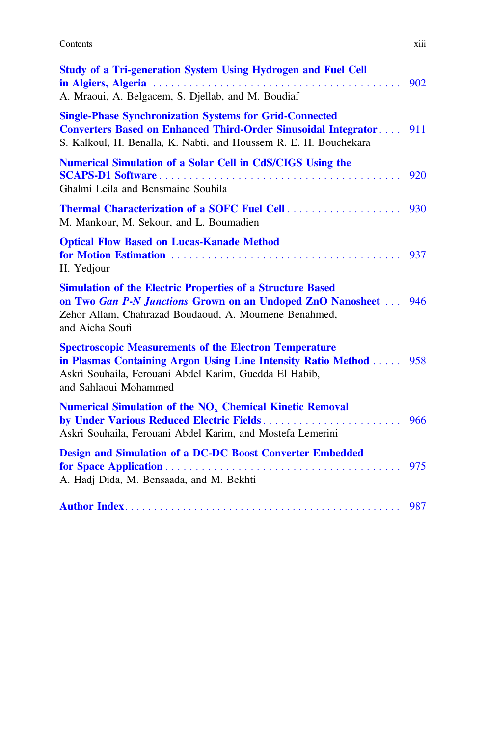**Contents** xiii

| <b>Study of a Tri-generation System Using Hydrogen and Fuel Cell</b>                                                                                                                                                  | 902 |
|-----------------------------------------------------------------------------------------------------------------------------------------------------------------------------------------------------------------------|-----|
| A. Mraoui, A. Belgacem, S. Djellab, and M. Boudiaf                                                                                                                                                                    |     |
| <b>Single-Phase Synchronization Systems for Grid-Connected</b><br>Converters Based on Enhanced Third-Order Sinusoidal Integrator 911<br>S. Kalkoul, H. Benalla, K. Nabti, and Houssem R. E. H. Bouchekara             |     |
| <b>Numerical Simulation of a Solar Cell in CdS/CIGS Using the</b><br>Ghalmi Leila and Bensmaine Souhila                                                                                                               | 920 |
| M. Mankour, M. Sekour, and L. Boumadien                                                                                                                                                                               |     |
| <b>Optical Flow Based on Lucas-Kanade Method</b><br>H. Yedjour                                                                                                                                                        | 937 |
| <b>Simulation of the Electric Properties of a Structure Based</b><br>on Two Gan P-N Junctions Grown on an Undoped ZnO Nanosheet  946<br>Zehor Allam, Chahrazad Boudaoud, A. Moumene Benahmed,<br>and Aicha Soufi      |     |
| <b>Spectroscopic Measurements of the Electron Temperature</b><br>in Plasmas Containing Argon Using Line Intensity Ratio Method 958<br>Askri Souhaila, Ferouani Abdel Karim, Guedda El Habib,<br>and Sahlaoui Mohammed |     |
| Numerical Simulation of the NO <sub>x</sub> Chemical Kinetic Removal<br>Askri Souhaila, Ferouani Abdel Karim, and Mostefa Lemerini                                                                                    | 966 |
| <b>Design and Simulation of a DC-DC Boost Converter Embedded</b><br>for Space Application<br>A. Hadj Dida, M. Bensaada, and M. Bekhti                                                                                 | 975 |
|                                                                                                                                                                                                                       |     |